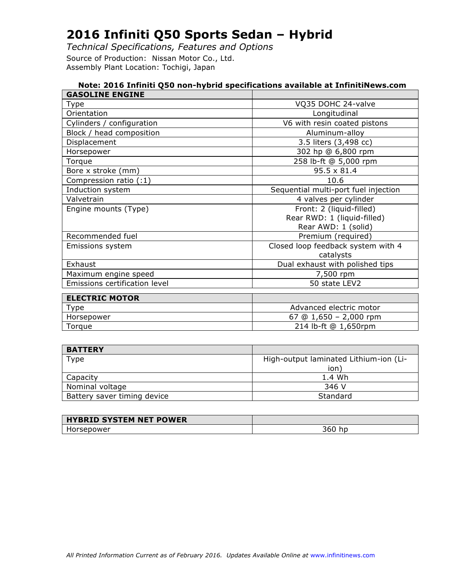*Technical Specifications, Features and Options* Source of Production: Nissan Motor Co., Ltd.

Assembly Plant Location: Tochigi, Japan

| Note: 2016 Infiniti Q50 non-hybrid specifications available at InfinitiNews.com |                                      |  |
|---------------------------------------------------------------------------------|--------------------------------------|--|
| <b>GASOLINE ENGINE</b>                                                          |                                      |  |
| Type                                                                            | VQ35 DOHC 24-valve                   |  |
| Orientation                                                                     | Longitudinal                         |  |
| Cylinders / configuration                                                       | V6 with resin coated pistons         |  |
| Block / head composition                                                        | Aluminum-alloy                       |  |
| Displacement                                                                    | 3.5 liters (3,498 cc)                |  |
| Horsepower                                                                      | 302 hp @ 6,800 rpm                   |  |
| Torque                                                                          | 258 lb-ft @ 5,000 rpm                |  |
| Bore x stroke (mm)                                                              | $95.5 \times 81.4$                   |  |
| Compression ratio (:1)                                                          | 10.6                                 |  |
| Induction system                                                                | Sequential multi-port fuel injection |  |
| Valvetrain                                                                      | 4 valves per cylinder                |  |
| Engine mounts (Type)                                                            | Front: 2 (liquid-filled)             |  |
|                                                                                 | Rear RWD: 1 (liquid-filled)          |  |
|                                                                                 | Rear AWD: 1 (solid)                  |  |
| Recommended fuel                                                                | Premium (required)                   |  |
| Emissions system                                                                | Closed loop feedback system with 4   |  |
|                                                                                 | catalysts                            |  |
| Exhaust                                                                         | Dual exhaust with polished tips      |  |
| Maximum engine speed                                                            | 7,500 rpm                            |  |
| Emissions certification level                                                   | 50 state LEV2                        |  |
| <b>ELECTRIC MOTOR</b>                                                           |                                      |  |
| <b>Type</b>                                                                     | Advanced electric motor              |  |
| Horsepower                                                                      | 67 @ $1,650 - 2,000$ rpm             |  |
| Torque                                                                          | 214 lb-ft @ 1,650rpm                 |  |
|                                                                                 |                                      |  |

| <b>BATTERY</b>              |                                        |
|-----------------------------|----------------------------------------|
| Type                        | High-output laminated Lithium-ion (Li- |
|                             | ion)                                   |
| Capacity                    | 1.4 Wh                                 |
| Nominal voltage             | 346 V                                  |
| Battery saver timing device | Standard                               |

| <b>HYBRID SYSTEM NET POWER</b> |          |
|--------------------------------|----------|
| :sepower                       | -<br>JUU |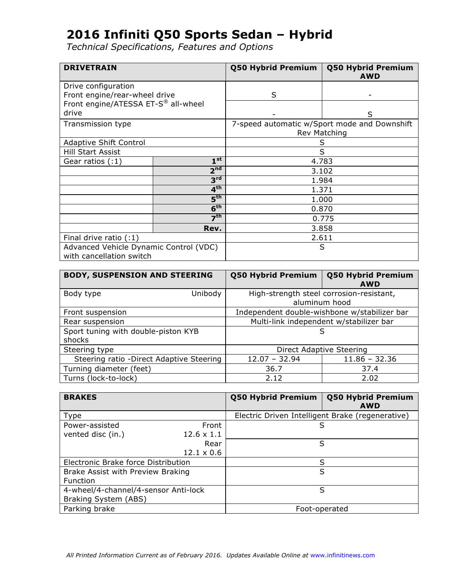| <b>DRIVETRAIN</b>                      |                          | Q50 Hybrid Premium | <b>Q50 Hybrid Premium</b><br><b>AWD</b>      |  |
|----------------------------------------|--------------------------|--------------------|----------------------------------------------|--|
| Drive configuration                    |                          |                    |                                              |  |
| Front engine/rear-wheel drive          |                          | S                  |                                              |  |
| Front engine/ATESSA ET-S® all-wheel    |                          |                    |                                              |  |
| drive                                  |                          |                    | S                                            |  |
| Transmission type                      |                          |                    | 7-speed automatic w/Sport mode and Downshift |  |
|                                        |                          |                    | Rev Matching                                 |  |
| Adaptive Shift Control                 |                          |                    | S                                            |  |
| <b>Hill Start Assist</b>               |                          | S                  |                                              |  |
| Gear ratios (:1)                       | 1 <sup>st</sup>          | 4.783              |                                              |  |
|                                        | 2 <sup>nd</sup>          |                    | 3.102                                        |  |
|                                        | 3 <sup>rd</sup>          |                    | 1.984                                        |  |
|                                        | 4 <sup>th</sup>          |                    | 1.371                                        |  |
| $\overline{\mathbf{5}}^{\mathsf{th}}$  |                          | 1.000              |                                              |  |
|                                        | 6 <sup>th</sup><br>0.870 |                    |                                              |  |
|                                        | 7 <sup>th</sup>          |                    | 0.775                                        |  |
|                                        | Rev.                     |                    | 3.858                                        |  |
| Final drive ratio (:1)                 |                          | 2.611              |                                              |  |
| Advanced Vehicle Dynamic Control (VDC) |                          |                    | S                                            |  |
| with cancellation switch               |                          |                    |                                              |  |

| <b>BODY, SUSPENSION AND STEERING</b>          | <b>Q50 Hybrid Premium</b>       | Q50 Hybrid Premium<br><b>AWD</b>                          |
|-----------------------------------------------|---------------------------------|-----------------------------------------------------------|
| Unibody<br>Body type                          |                                 | High-strength steel corrosion-resistant,<br>aluminum hood |
| Front suspension                              |                                 | Independent double-wishbone w/stabilizer bar              |
| Rear suspension                               |                                 | Multi-link independent w/stabilizer bar                   |
| Sport tuning with double-piston KYB<br>shocks |                                 | S                                                         |
| Steering type                                 | <b>Direct Adaptive Steering</b> |                                                           |
| Steering ratio - Direct Adaptive Steering     | $12.07 - 32.94$                 | $11.86 - 32.36$                                           |
| Turning diameter (feet)                       | 36.7                            | 37.4                                                      |
| Turns (lock-to-lock)                          | 2.12                            | 2.02                                                      |

| <b>BRAKES</b>                        |                   | <b>Q50 Hybrid Premium</b> | Q50 Hybrid Premium<br><b>AWD</b>                 |
|--------------------------------------|-------------------|---------------------------|--------------------------------------------------|
| <b>Type</b>                          |                   |                           | Electric Driven Intelligent Brake (regenerative) |
| Power-assisted                       | Front             |                           | S                                                |
| vented disc (in.)                    | $12.6 \times 1.1$ |                           |                                                  |
|                                      | Rear              | S                         |                                                  |
|                                      | $12.1 \times 0.6$ |                           |                                                  |
| Electronic Brake force Distribution  |                   | S                         |                                                  |
| Brake Assist with Preview Braking    |                   | S                         |                                                  |
| <b>Function</b>                      |                   |                           |                                                  |
| 4-wheel/4-channel/4-sensor Anti-lock |                   | S                         |                                                  |
| Braking System (ABS)                 |                   |                           |                                                  |
| Parking brake                        |                   |                           | Foot-operated                                    |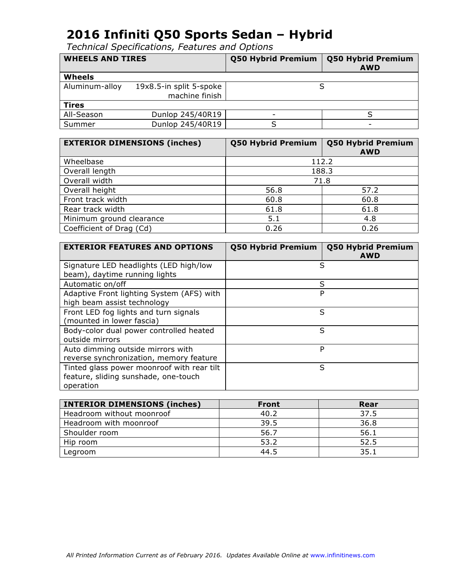| <b>WHEELS AND TIRES</b> |                         | <b>Q50 Hybrid Premium</b> | <b>Q50 Hybrid Premium</b><br><b>AWD</b> |
|-------------------------|-------------------------|---------------------------|-----------------------------------------|
| <b>Wheels</b>           |                         |                           |                                         |
| Aluminum-alloy          | 19x8.5-in split 5-spoke |                           |                                         |
|                         | machine finish          |                           |                                         |
| <b>Tires</b>            |                         |                           |                                         |
| All-Season              | Dunlop 245/40R19        | -                         |                                         |
| Summer                  | Dunlop 245/40R19        |                           | $\overline{\phantom{0}}$                |

| <b>EXTERIOR DIMENSIONS (inches)</b> | <b>Q50 Hybrid Premium</b> | <b>Q50 Hybrid Premium</b><br><b>AWD</b> |
|-------------------------------------|---------------------------|-----------------------------------------|
| Wheelbase                           |                           | 112.2                                   |
| Overall length                      | 188.3                     |                                         |
| Overall width                       | 71.8                      |                                         |
| Overall height                      | 56.8                      | 57.2                                    |
| Front track width                   | 60.8                      | 60.8                                    |
| Rear track width                    | 61.8                      | 61.8                                    |
| Minimum ground clearance            | 5.1                       | 4.8                                     |
| Coefficient of Drag (Cd)            | 0.26                      | 0.26                                    |

| <b>EXTERIOR FEATURES AND OPTIONS</b>       | <b>Q50 Hybrid Premium</b> | <b>Q50 Hybrid Premium</b><br><b>AWD</b> |
|--------------------------------------------|---------------------------|-----------------------------------------|
| Signature LED headlights (LED high/low     | S                         |                                         |
| beam), daytime running lights              |                           |                                         |
| Automatic on/off                           | S                         |                                         |
| Adaptive Front lighting System (AFS) with  | P                         |                                         |
| high beam assist technology                |                           |                                         |
| Front LED fog lights and turn signals      | S                         |                                         |
| (mounted in lower fascia)                  |                           |                                         |
| Body-color dual power controlled heated    | S                         |                                         |
| outside mirrors                            |                           |                                         |
| Auto dimming outside mirrors with          | P                         |                                         |
| reverse synchronization, memory feature    |                           |                                         |
| Tinted glass power moonroof with rear tilt | S                         |                                         |
| feature, sliding sunshade, one-touch       |                           |                                         |
| operation                                  |                           |                                         |

| <b>INTERIOR DIMENSIONS (inches)</b> | <b>Front</b> | Rear |
|-------------------------------------|--------------|------|
| Headroom without moonroof           | 40.2         | 37.5 |
| Headroom with moonroof              | 39.5         | 36.8 |
| Shoulder room                       | 56.7         | 56.1 |
| Hip room                            | 53.2         | 52.5 |
| Legroom                             | 44.5         | 35.1 |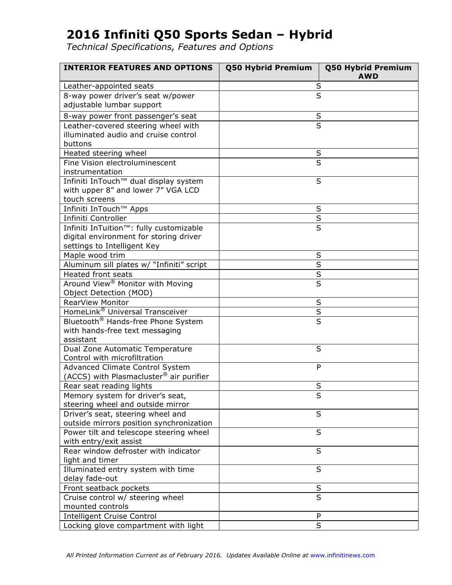| <b>INTERIOR FEATURES AND OPTIONS</b>           | Q50 Hybrid Premium      | Q50 Hybrid Premium<br><b>AWD</b> |
|------------------------------------------------|-------------------------|----------------------------------|
| Leather-appointed seats                        | S                       |                                  |
| 8-way power driver's seat w/power              | $\overline{\mathsf{s}}$ |                                  |
| adjustable lumbar support                      |                         |                                  |
| 8-way power front passenger's seat             | $\sf S$                 |                                  |
| Leather-covered steering wheel with            | $\overline{\mathsf{s}}$ |                                  |
| illuminated audio and cruise control           |                         |                                  |
| buttons                                        |                         |                                  |
| Heated steering wheel                          | S                       |                                  |
| Fine Vision electroluminescent                 | $\overline{\mathsf{s}}$ |                                  |
| instrumentation                                |                         |                                  |
| Infiniti InTouch™ dual display system          | S                       |                                  |
| with upper 8" and lower 7" VGA LCD             |                         |                                  |
| touch screens                                  |                         |                                  |
| Infiniti InTouch™ Apps                         | S                       |                                  |
| Infiniti Controller                            | $\overline{\mathsf{S}}$ |                                  |
| Infiniti InTuition™: fully customizable        | $\overline{\mathsf{s}}$ |                                  |
| digital environment for storing driver         |                         |                                  |
| settings to Intelligent Key                    |                         |                                  |
| Maple wood trim                                | S                       |                                  |
| Aluminum sill plates w/ "Infiniti" script      | $\overline{\mathsf{S}}$ |                                  |
| <b>Heated front seats</b>                      | $\sf S$                 |                                  |
| Around View <sup>®</sup> Monitor with Moving   | S                       |                                  |
| Object Detection (MOD)                         |                         |                                  |
| <b>RearView Monitor</b>                        | $\sf S$                 |                                  |
| HomeLink® Universal Transceiver                |                         |                                  |
| Bluetooth <sup>®</sup> Hands-free Phone System | $rac{S}{S}$             |                                  |
| with hands-free text messaging                 |                         |                                  |
| assistant                                      |                         |                                  |
| Dual Zone Automatic Temperature                | S                       |                                  |
| Control with microfiltration                   |                         |                                  |
| Advanced Climate Control System                | P                       |                                  |
| (ACCS) with Plasmacluster® air purifier        |                         |                                  |
| Rear seat reading lights                       | S                       |                                  |
| Memory system for driver's seat,               | ১                       |                                  |
| steering wheel and outside mirror              |                         |                                  |
| Driver's seat, steering wheel and              | S                       |                                  |
| outside mirrors position synchronization       |                         |                                  |
| Power tilt and telescope steering wheel        | S                       |                                  |
| with entry/exit assist                         |                         |                                  |
| Rear window defroster with indicator           | S                       |                                  |
| light and timer                                |                         |                                  |
| Illuminated entry system with time             | S                       |                                  |
| delay fade-out                                 |                         |                                  |
| Front seatback pockets                         | $\sf S$                 |                                  |
| Cruise control w/ steering wheel               | $\overline{\mathsf{s}}$ |                                  |
| mounted controls                               |                         |                                  |
| <b>Intelligent Cruise Control</b>              | P                       |                                  |
| Locking glove compartment with light           | S                       |                                  |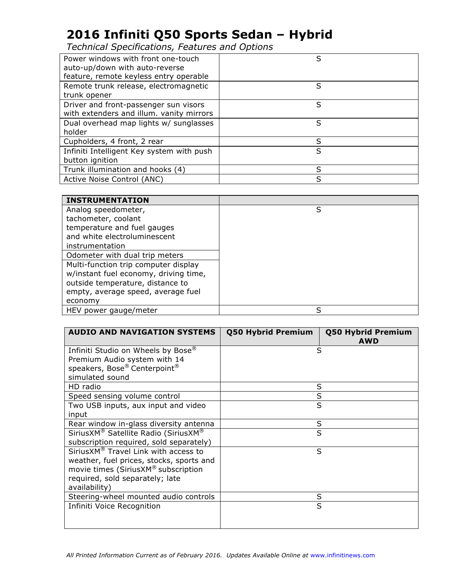*Technical Specifications, Features and Options*

| Power windows with front one-touch        | S |
|-------------------------------------------|---|
| auto-up/down with auto-reverse            |   |
| feature, remote keyless entry operable    |   |
| Remote trunk release, electromagnetic     | S |
| trunk opener                              |   |
| Driver and front-passenger sun visors     | S |
| with extenders and illum. vanity mirrors  |   |
| Dual overhead map lights w/ sunglasses    | S |
| holder                                    |   |
| Cupholders, 4 front, 2 rear               | S |
| Infiniti Intelligent Key system with push | S |
| button ignition                           |   |
| Trunk illumination and hooks (4)          | S |
| Active Noise Control (ANC)                | S |

| <b>INSTRUMENTATION</b>                |   |
|---------------------------------------|---|
| Analog speedometer,                   | S |
| tachometer, coolant                   |   |
| temperature and fuel gauges           |   |
| and white electroluminescent          |   |
| instrumentation                       |   |
| Odometer with dual trip meters        |   |
| Multi-function trip computer display  |   |
| w/instant fuel economy, driving time, |   |
| outside temperature, distance to      |   |
| empty, average speed, average fuel    |   |
| economy                               |   |
| HEV power gauge/meter                 | S |

| <b>AUDIO AND NAVIGATION SYSTEMS</b>            | <b>Q50 Hybrid Premium</b> | <b>Q50 Hybrid Premium</b><br><b>AWD</b> |
|------------------------------------------------|---------------------------|-----------------------------------------|
| Infiniti Studio on Wheels by Bose <sup>®</sup> | S                         |                                         |
| Premium Audio system with 14                   |                           |                                         |
| speakers, Bose® Centerpoint®                   |                           |                                         |
| simulated sound                                |                           |                                         |
| HD radio                                       | S                         |                                         |
| Speed sensing volume control                   | S                         |                                         |
| Two USB inputs, aux input and video            | S                         |                                         |
| input                                          |                           |                                         |
| Rear window in-glass diversity antenna         | S                         |                                         |
| SiriusXM® Satellite Radio (SiriusXM®           | S                         |                                         |
| subscription required, sold separately)        |                           |                                         |
| SiriusXM® Travel Link with access to           | S                         |                                         |
| weather, fuel prices, stocks, sports and       |                           |                                         |
| movie times (SiriusXM® subscription            |                           |                                         |
| required, sold separately; late                |                           |                                         |
| availability)                                  |                           |                                         |
| Steering-wheel mounted audio controls          | S                         |                                         |
| Infiniti Voice Recognition                     | S                         |                                         |
|                                                |                           |                                         |
|                                                |                           |                                         |

All Printed Information Current as of February 2016. Updates Available Online at www.infinitinews.com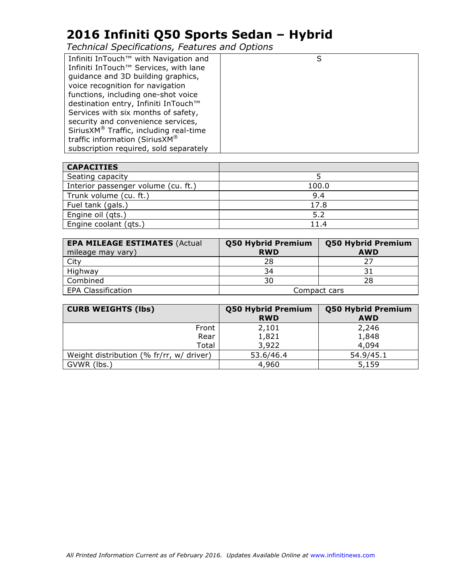| Infiniti InTouch <sup>™</sup> with Navigation and  | S |
|----------------------------------------------------|---|
| Infiniti InTouch™ Services, with lane              |   |
| guidance and 3D building graphics,                 |   |
| voice recognition for navigation                   |   |
| functions, including one-shot voice                |   |
| destination entry, Infiniti InTouch™               |   |
| Services with six months of safety,                |   |
| security and convenience services,                 |   |
| SiriusXM <sup>®</sup> Traffic, including real-time |   |
| traffic information (SiriusXM®                     |   |
| subscription required, sold separately             |   |

| <b>CAPACITIES</b>                   |       |
|-------------------------------------|-------|
| Seating capacity                    |       |
| Interior passenger volume (cu. ft.) | 100.0 |
| Trunk volume (cu. ft.)              | 9.4   |
| Fuel tank (gals.)                   | 17.8  |
| Engine oil (qts.)                   | 5.2   |
| Engine coolant (qts.)               | 11.4  |

| <b>EPA MILEAGE ESTIMATES (Actual</b><br>mileage may vary) | <b>Q50 Hybrid Premium</b><br><b>RWD</b> | <b>Q50 Hybrid Premium</b><br><b>AWD</b> |
|-----------------------------------------------------------|-----------------------------------------|-----------------------------------------|
| City                                                      | 28                                      | つフ                                      |
| Highway                                                   | 34                                      |                                         |
| Combined                                                  | 30                                      | 28                                      |
| <b>EPA Classification</b>                                 | Compact cars                            |                                         |

| <b>CURB WEIGHTS (lbs)</b>                | <b>Q50 Hybrid Premium</b><br><b>RWD</b> | <b>Q50 Hybrid Premium</b><br><b>AWD</b> |
|------------------------------------------|-----------------------------------------|-----------------------------------------|
| Front                                    | 2,101                                   | 2,246                                   |
| Rear                                     | 1,821                                   | 1,848                                   |
| Total                                    | 3,922                                   | 4,094                                   |
| Weight distribution (% fr/rr, w/ driver) | 53.6/46.4                               | 54.9/45.1                               |
| GVWR (lbs.)                              | 4,960                                   | 5,159                                   |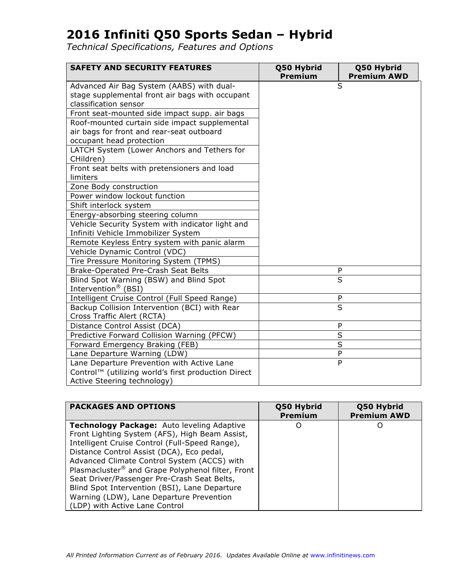| <b>SAFETY AND SECURITY FEATURES</b>                      | Q50 Hybrid<br>Premium | Q50 Hybrid<br><b>Premium AWD</b> |
|----------------------------------------------------------|-----------------------|----------------------------------|
| Advanced Air Bag System (AABS) with dual-                |                       | S                                |
| stage supplemental front air bags with occupant          |                       |                                  |
| classification sensor                                    |                       |                                  |
| Front seat-mounted side impact supp. air bags            |                       |                                  |
| Roof-mounted curtain side impact supplemental            |                       |                                  |
| air bags for front and rear-seat outboard                |                       |                                  |
| occupant head protection                                 |                       |                                  |
| LATCH System (Lower Anchors and Tethers for<br>CHildren) |                       |                                  |
| Front seat belts with pretensioners and load             |                       |                                  |
| limiters                                                 |                       |                                  |
| Zone Body construction                                   |                       |                                  |
| Power window lockout function                            |                       |                                  |
| Shift interlock system                                   |                       |                                  |
| Energy-absorbing steering column                         |                       |                                  |
| Vehicle Security System with indicator light and         |                       |                                  |
| Infiniti Vehicle Immobilizer System                      |                       |                                  |
| Remote Keyless Entry system with panic alarm             |                       |                                  |
| Vehicle Dynamic Control (VDC)                            |                       |                                  |
| Tire Pressure Monitoring System (TPMS)                   |                       |                                  |
| Brake-Operated Pre-Crash Seat Belts                      |                       | P                                |
| Blind Spot Warning (BSW) and Blind Spot                  |                       | $\overline{\mathsf{s}}$          |
| Intervention <sup>®</sup> (BSI)                          |                       |                                  |
| Intelligent Cruise Control (Full Speed Range)            |                       | P                                |
| Backup Collision Intervention (BCI) with Rear            |                       | $\overline{\mathsf{s}}$          |
| Cross Traffic Alert (RCTA)                               |                       |                                  |
| Distance Control Assist (DCA)                            |                       | P                                |
| Predictive Forward Collision Warning (PFCW)              |                       | S                                |
| Forward Emergency Braking (FEB)                          |                       | S                                |
| Lane Departure Warning (LDW)                             |                       | P                                |
| Lane Departure Prevention with Active Lane               |                       | P                                |
| Control™ (utilizing world's first production Direct      |                       |                                  |
| Active Steering technology)                              |                       |                                  |

| <b>PACKAGES AND OPTIONS</b>                                                                                                                                                                                                                                                                                                                                                                                                                                                          | Q50 Hybrid<br>Premium | Q50 Hybrid<br><b>Premium AWD</b> |
|--------------------------------------------------------------------------------------------------------------------------------------------------------------------------------------------------------------------------------------------------------------------------------------------------------------------------------------------------------------------------------------------------------------------------------------------------------------------------------------|-----------------------|----------------------------------|
| <b>Technology Package:</b> Auto leveling Adaptive<br>Front Lighting System (AFS), High Beam Assist,<br>Intelligent Cruise Control (Full-Speed Range),<br>Distance Control Assist (DCA), Eco pedal,<br>Advanced Climate Control System (ACCS) with<br>Plasmacluster® and Grape Polyphenol filter, Front<br>Seat Driver/Passenger Pre-Crash Seat Belts,<br>Blind Spot Intervention (BSI), Lane Departure<br>Warning (LDW), Lane Departure Prevention<br>(LDP) with Active Lane Control |                       | Ő                                |